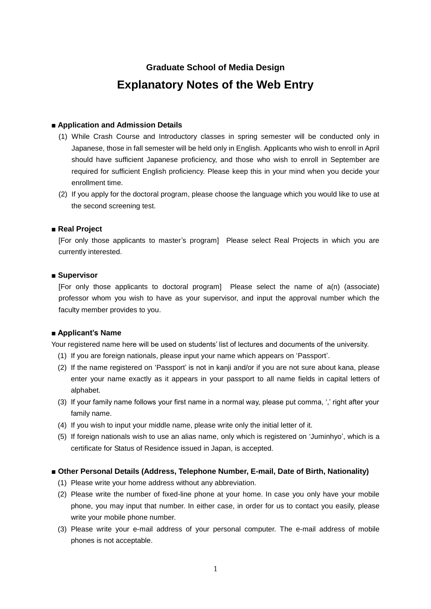# **Graduate School of Media Design Explanatory Notes of the Web Entry**

# **■ Application and Admission Details**

- (1) While Crash Course and Introductory classes in spring semester will be conducted only in Japanese, those in fall semester will be held only in English. Applicants who wish to enroll in April should have sufficient Japanese proficiency, and those who wish to enroll in September are required for sufficient English proficiency. Please keep this in your mind when you decide your enrollment time.
- (2) If you apply for the doctoral program, please choose the language which you would like to use at the second screening test.

# **■ Real Project**

[For only those applicants to master's program] Please select Real Projects in which you are currently interested.

# ■ Supervisor

[For only those applicants to doctoral program] Please select the name of a(n) (associate) professor whom you wish to have as your supervisor, and input the approval number which the faculty member provides to you.

# **■ Applicant's Name**

Your registered name here will be used on students' list of lectures and documents of the university.

- (1) If you are foreign nationals, please input your name which appears on 'Passport'.
- (2) If the name registered on 'Passport' is not in kanji and/or if you are not sure about kana, please enter your name exactly as it appears in your passport to all name fields in capital letters of alphabet.
- (3) If your family name follows your first name in a normal way, please put comma, ',' right after your family name.
- (4) If you wish to input your middle name, please write only the initial letter of it.
- (5) If foreign nationals wish to use an alias name, only which is registered on 'Juminhyo', which is a certificate for Status of Residence issued in Japan, is accepted.

#### **■ Other Personal Details (Address, Telephone Number, E-mail, Date of Birth, Nationality)**

- (1) Please write your home address without any abbreviation.
- (2) Please write the number of fixed-line phone at your home. In case you only have your mobile phone, you may input that number. In either case, in order for us to contact you easily, please write your mobile phone number.
- (3) Please write your e-mail address of your personal computer. The e-mail address of mobile phones is not acceptable.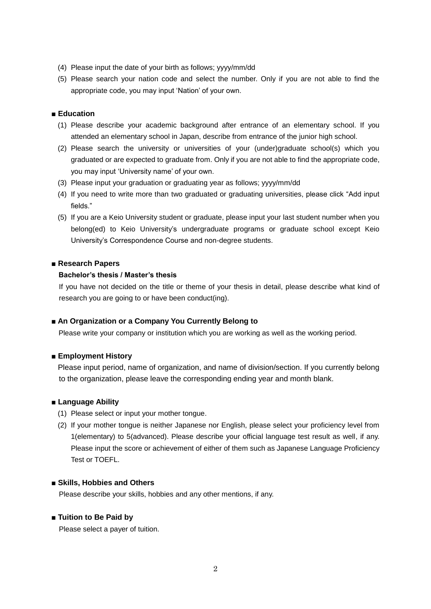- (4) Please input the date of your birth as follows; yyyy/mm/dd
- (5) Please search your nation code and select the number. Only if you are not able to find the appropriate code, you may input 'Nation' of your own.

### **■ Education**

- (1) Please describe your academic background after entrance of an elementary school. If you attended an elementary school in Japan, describe from entrance of the junior high school.
- (2) Please search the university or universities of your (under)graduate school(s) which you graduated or are expected to graduate from. Only if you are not able to find the appropriate code, you may input 'University name' of your own.
- (3) Please input your graduation or graduating year as follows; yyyy/mm/dd
- (4) If you need to write more than two graduated or graduating universities, please click "Add input fields."
- (5) If you are a Keio University student or graduate, please input your last student number when you belong(ed) to Keio University's undergraduate programs or graduate school except Keio University's Correspondence Course and non-degree students.

#### **■ Research Papers**

#### **Bachelor's thesis / Master's thesis**

If you have not decided on the title or theme of your thesis in detail, please describe what kind of research you are going to or have been conduct(ing).

#### ■ **An Organization or a Company You Currently Belong to**

Please write your company or institution which you are working as well as the working period.

#### **■ Employment History**

 Please input period, name of organization, and name of division/section. If you currently belong to the organization, please leave the corresponding ending year and month blank.

#### **■ Language Ability**

- (1) Please select or input your mother tongue.
- (2) If your mother tongue is neither Japanese nor English, please select your proficiency level from 1(elementary) to 5(advanced). Please describe your official language test result as well, if any. Please input the score or achievement of either of them such as Japanese Language Proficiency Test or TOEFL.

#### **■ Skills, Hobbies and Others**

Please describe your skills, hobbies and any other mentions, if any.

#### **■ Tuition to Be Paid by**

Please select a payer of tuition.